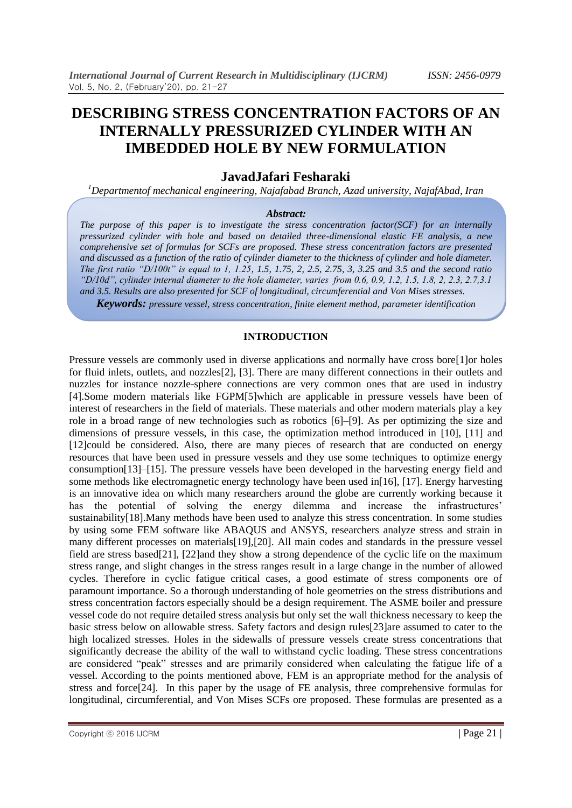# **DESCRIBING STRESS CONCENTRATION FACTORS OF AN INTERNALLY PRESSURIZED CYLINDER WITH AN IMBEDDED HOLE BY NEW FORMULATION**

# **JavadJafari Fesharaki**

*<sup>1</sup>Departmentof mechanical engineering, Najafabad Branch, Azad university, NajafAbad, Iran* 

#### *Abstract:*

*The purpose of this paper is to investigate the stress concentration factor(SCF) for an internally pressurized cylinder with hole and based on detailed three-dimensional elastic FE analysis, a new comprehensive set of formulas for SCFs are proposed. These stress concentration factors are presented and discussed as a function of the ratio of cylinder diameter to the thickness of cylinder and hole diameter. The first ratio "D/100t" is equal to 1, 1.25, 1.5, 1.75, 2, 2.5, 2.75, 3, 3.25 and 3.5 and the second ratio "D/10d", cylinder internal diameter to the hole diameter, varies from 0.6, 0.9, 1.2, 1.5, 1.8, 2, 2.3, 2.7,3.1 and 3.5. Results are also presented for SCF of longitudinal, circumferential and Von Mises stresses.*

*Keywords: pressure vessel, stress concentration, finite element method, parameter identification*

## **INTRODUCTION**

Pressure vessels are commonly used in diverse applications and normally have cross bore[1]or holes for fluid inlets, outlets, and nozzles[2], [3]. There are many different connections in their outlets and nuzzles for instance nozzle-sphere connections are very common ones that are used in industry [4].Some modern materials like FGPM[5]which are applicable in pressure vessels have been of interest of researchers in the field of materials. These materials and other modern materials play a key role in a broad range of new technologies such as robotics [6]–[9]. As per optimizing the size and dimensions of pressure vessels, in this case, the optimization method introduced in [10], [11] and [12]could be considered. Also, there are many pieces of research that are conducted on energy resources that have been used in pressure vessels and they use some techniques to optimize energy consumption[13]–[15]. The pressure vessels have been developed in the harvesting energy field and some methods like electromagnetic energy technology have been used in[16], [17]. Energy harvesting is an innovative idea on which many researchers around the globe are currently working because it has the potential of solving the energy dilemma and increase the infrastructures' sustainability[18].Many methods have been used to analyze this stress concentration. In some studies by using some FEM software like ABAQUS and ANSYS, researchers analyze stress and strain in many different processes on materials[19],[20]. All main codes and standards in the pressure vessel field are stress based[21], [22]and they show a strong dependence of the cyclic life on the maximum stress range, and slight changes in the stress ranges result in a large change in the number of allowed cycles. Therefore in cyclic fatigue critical cases, a good estimate of stress components ore of paramount importance. So a thorough understanding of hole geometries on the stress distributions and stress concentration factors especially should be a design requirement. The ASME boiler and pressure vessel code do not require detailed stress analysis but only set the wall thickness necessary to keep the basic stress below on allowable stress. Safety factors and design rules[23]are assumed to cater to the high localized stresses. Holes in the sidewalls of pressure vessels create stress concentrations that significantly decrease the ability of the wall to withstand cyclic loading. These stress concentrations are considered "peak" stresses and are primarily considered when calculating the fatigue life of a vessel. According to the points mentioned above, FEM is an appropriate method for the analysis of stress and force[24]. In this paper by the usage of FE analysis, three comprehensive formulas for longitudinal, circumferential, and Von Mises SCFs ore proposed. These formulas are presented as a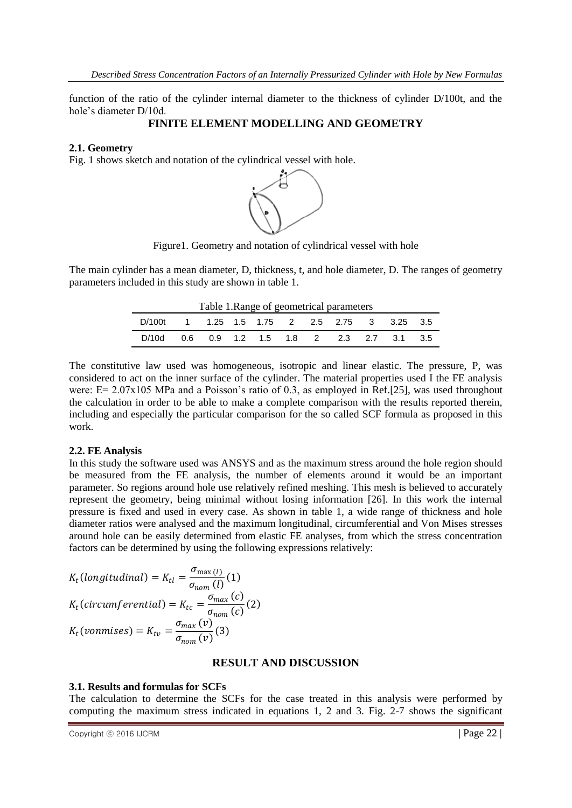function of the ratio of the cylinder internal diameter to the thickness of cylinder D/100t, and the hole's diameter D/10d.

## **FINITE ELEMENT MODELLING AND GEOMETRY**

#### **2.1. Geometry**

Fig. 1 shows sketch and notation of the cylindrical vessel with hole.



Figure1. Geometry and notation of cylindrical vessel with hole

The main cylinder has a mean diameter, D, thickness, t, and hole diameter, D. The ranges of geometry parameters included in this study are shown in table 1.

| Table 1. Range of geometrical parameters               |  |  |  |  |  |  |  |  |  |  |  |
|--------------------------------------------------------|--|--|--|--|--|--|--|--|--|--|--|
| D/100t  1  1.25  1.5  1.75  2  2.5  2.75  3  3.25  3.5 |  |  |  |  |  |  |  |  |  |  |  |
| D/10d  0.6  0.9  1.2  1.5  1.8  2  2.3  2.7  3.1  3.5  |  |  |  |  |  |  |  |  |  |  |  |

The constitutive law used was homogeneous, isotropic and linear elastic. The pressure, P, was considered to act on the inner surface of the cylinder. The material properties used I the FE analysis were: E= 2.07x105 MPa and a Poisson's ratio of 0.3, as employed in Ref.[25], was used throughout the calculation in order to be able to make a complete comparison with the results reported therein, including and especially the particular comparison for the so called SCF formula as proposed in this work.

## **2.2. FE Analysis**

In this study the software used was ANSYS and as the maximum stress around the hole region should be measured from the FE analysis, the number of elements around it would be an important parameter. So regions around hole use relatively refined meshing. This mesh is believed to accurately represent the geometry, being minimal without losing information [26]. In this work the internal pressure is fixed and used in every case. As shown in table 1, a wide range of thickness and hole diameter ratios were analysed and the maximum longitudinal, circumferential and Von Mises stresses around hole can be easily determined from elastic FE analyses, from which the stress concentration factors can be determined by using the following expressions relatively:

$$
K_t (longitudinal) = K_{tl} = \frac{\sigma_{\text{max}}(l)}{\sigma_{\text{nom}}(l)}(1)
$$
  

$$
K_t (circumferential) = K_{tc} = \frac{\sigma_{\text{max}}(c)}{\sigma_{\text{nom}}(c)}(2)
$$
  

$$
K_t (vonmises) = K_{tv} = \frac{\sigma_{\text{max}}(v)}{\sigma_{\text{nom}}(v)}(3)
$$

#### **RESULT AND DISCUSSION**

#### **3.1. Results and formulas for SCFs**

The calculation to determine the SCFs for the case treated in this analysis were performed by computing the maximum stress indicated in equations 1, 2 and 3. Fig. 2-7 shows the significant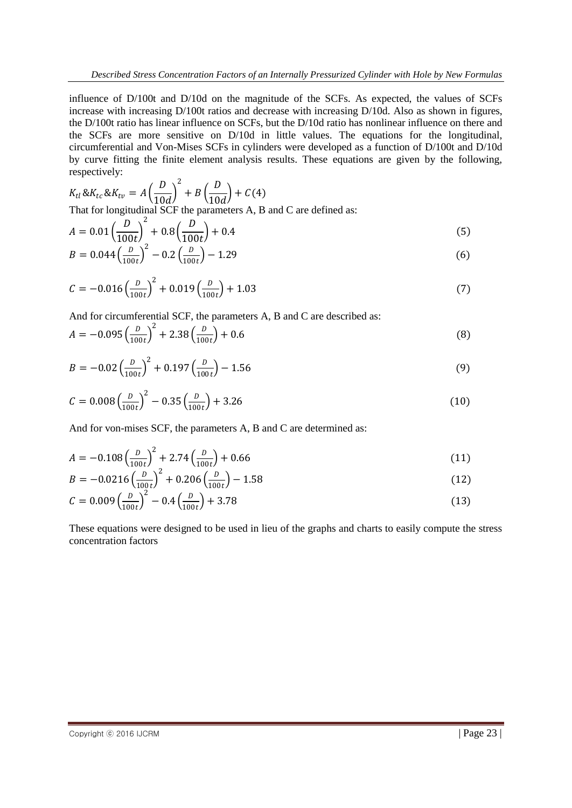influence of D/100t and D/10d on the magnitude of the SCFs. As expected, the values of SCFs increase with increasing D/100t ratios and decrease with increasing D/10d. Also as shown in figures, the D/100t ratio has linear influence on SCFs, but the D/10d ratio has nonlinear influence on there and the SCFs are more sensitive on D/10d in little values. The equations for the longitudinal, circumferential and Von-Mises SCFs in cylinders were developed as a function of D/100t and D/10d by curve fitting the finite element analysis results. These equations are given by the following, respectively:

$$
K_{tl} \& K_{tc} \& K_{tv} = A \left(\frac{D}{10d}\right)^2 + B \left(\frac{D}{10d}\right) + C(4)
$$
  
That for longitudinal SCF the parameters A, B and C are defined as:

$$
A = 0.01 \left(\frac{D}{100t}\right)^2 + 0.8 \left(\frac{D}{100t}\right) + 0.4\tag{5}
$$

$$
B = 0.044 \left(\frac{D}{100t}\right)^2 - 0.2 \left(\frac{D}{100t}\right) - 1.29\tag{6}
$$

$$
C = -0.016 \left(\frac{D}{100t}\right)^2 + 0.019 \left(\frac{D}{100t}\right) + 1.03\tag{7}
$$

And for circumferential SCF, the parameters A, B and C are described as:

$$
A = -0.095 \left(\frac{D}{100t}\right)^2 + 2.38 \left(\frac{D}{100t}\right) + 0.6\tag{8}
$$

$$
B = -0.02 \left(\frac{D}{100t}\right)^2 + 0.197 \left(\frac{D}{100t}\right) - 1.56\tag{9}
$$

$$
C = 0.008 \left(\frac{D}{100t}\right)^2 - 0.35 \left(\frac{D}{100t}\right) + 3.26\tag{10}
$$

And for von-mises SCF, the parameters A, B and C are determined as:

$$
A = -0.108 \left(\frac{D}{100t}\right)^2 + 2.74 \left(\frac{D}{100t}\right) + 0.66\tag{11}
$$

$$
B = -0.0216 \left(\frac{D}{100t}\right)^2 + 0.206 \left(\frac{D}{100t}\right) - 1.58\tag{12}
$$

$$
C = 0.009 \left(\frac{D}{100t}\right)^2 - 0.4 \left(\frac{D}{100t}\right) + 3.78\tag{13}
$$

These equations were designed to be used in lieu of the graphs and charts to easily compute the stress concentration factors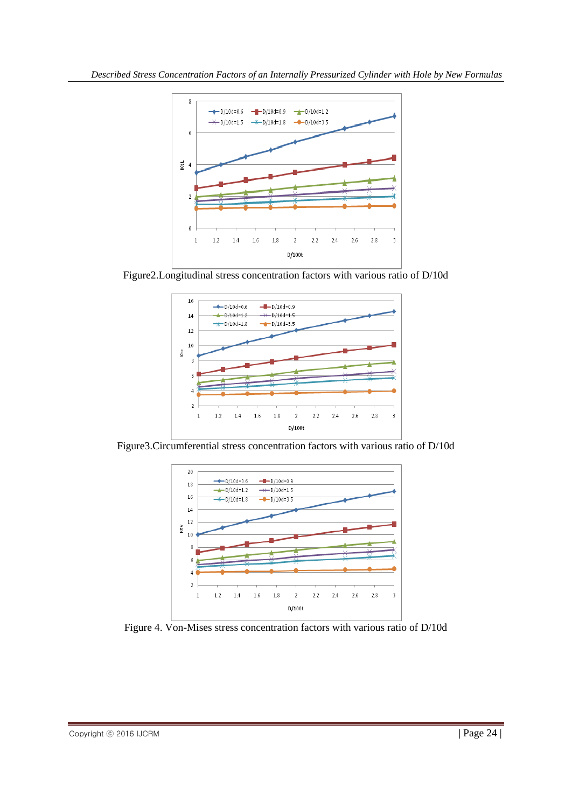

Figure2.Longitudinal stress concentration factors with various ratio of D/10d



Figure3.Circumferential stress concentration factors with various ratio of D/10d



Figure 4. Von-Mises stress concentration factors with various ratio of D/10d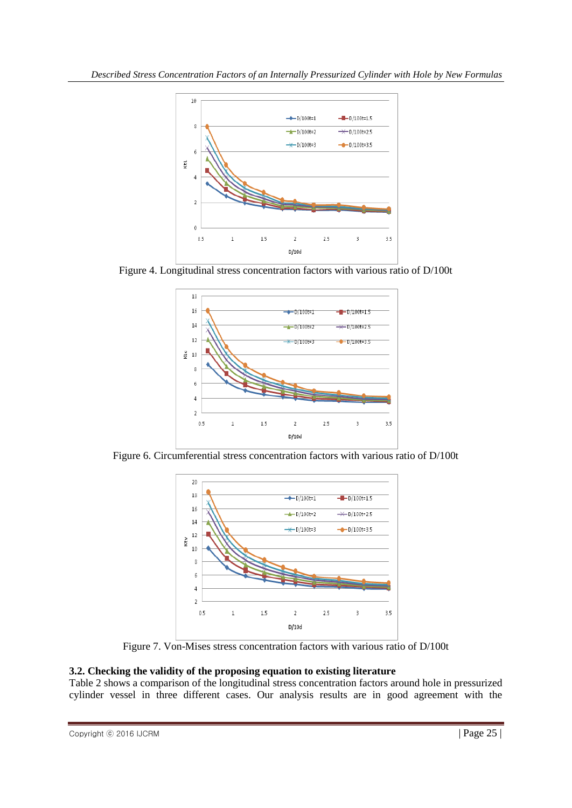

Figure 4. Longitudinal stress concentration factors with various ratio of D/100t



Figure 6. Circumferential stress concentration factors with various ratio of D/100t



Figure 7. Von-Mises stress concentration factors with various ratio of D/100t

# **3.2. Checking the validity of the proposing equation to existing literature**

Table 2 shows a comparison of the longitudinal stress concentration factors around hole in pressurized cylinder vessel in three different cases. Our analysis results are in good agreement with the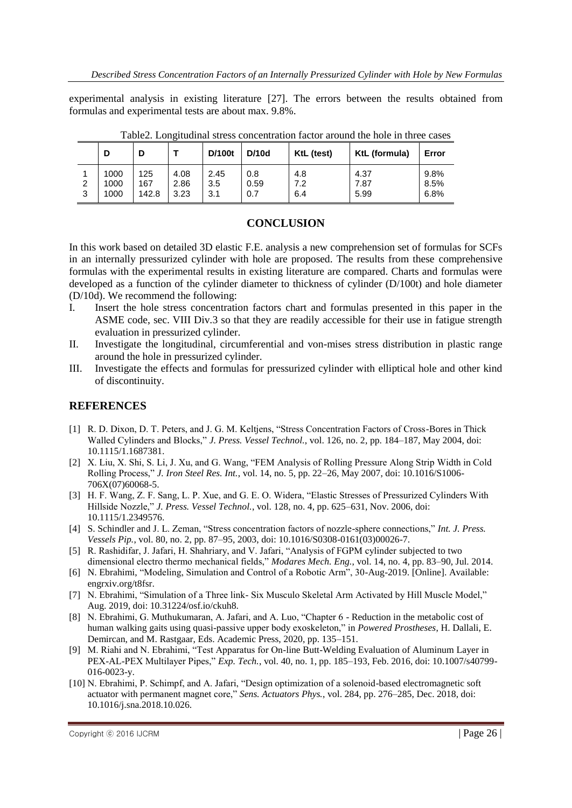experimental analysis in existing literature [27]. The errors between the results obtained from formulas and experimental tests are about max. 9.8%.

|        |                      | D                   |                      | D/100t             | D/10d              | KtL (test)        | KtL (formula)        | Error                |
|--------|----------------------|---------------------|----------------------|--------------------|--------------------|-------------------|----------------------|----------------------|
| 2<br>3 | 1000<br>1000<br>1000 | 125<br>167<br>142.8 | 4.08<br>2.86<br>3.23 | 2.45<br>3.5<br>3.1 | 0.8<br>0.59<br>0.7 | 4.8<br>7.2<br>6.4 | 4.37<br>7.87<br>5.99 | 9.8%<br>8.5%<br>6.8% |

Table2. Longitudinal stress concentration factor around the hole in three cases

## **CONCLUSION**

In this work based on detailed 3D elastic F.E. analysis a new comprehension set of formulas for SCFs in an internally pressurized cylinder with hole are proposed. The results from these comprehensive formulas with the experimental results in existing literature are compared. Charts and formulas were developed as a function of the cylinder diameter to thickness of cylinder (D/100t) and hole diameter (D/10d). We recommend the following:

- I. Insert the hole stress concentration factors chart and formulas presented in this paper in the ASME code, sec. VIII Div.3 so that they are readily accessible for their use in fatigue strength evaluation in pressurized cylinder.
- II. Investigate the longitudinal, circumferential and von-mises stress distribution in plastic range around the hole in pressurized cylinder.
- III. Investigate the effects and formulas for pressurized cylinder with elliptical hole and other kind of discontinuity.

## **REFERENCES**

- [1] R. D. Dixon, D. T. Peters, and J. G. M. Keltjens, "Stress Concentration Factors of Cross-Bores in Thick Walled Cylinders and Blocks," *J. Press. Vessel Technol.*, vol. 126, no. 2, pp. 184–187, May 2004, doi: 10.1115/1.1687381.
- [2] X. Liu, X. Shi, S. Li, J. Xu, and G. Wang, "FEM Analysis of Rolling Pressure Along Strip Width in Cold Rolling Process," *J. Iron Steel Res. Int.*, vol. 14, no. 5, pp. 22–26, May 2007, doi: 10.1016/S1006- 706X(07)60068-5.
- [3] H. F. Wang, Z. F. Sang, L. P. Xue, and G. E. O. Widera, "Elastic Stresses of Pressurized Cylinders With Hillside Nozzle," *J. Press. Vessel Technol.*, vol. 128, no. 4, pp. 625–631, Nov. 2006, doi: 10.1115/1.2349576.
- [4] S. Schindler and J. L. Zeman, "Stress concentration factors of nozzle-sphere connections," *Int. J. Press. Vessels Pip.*, vol. 80, no. 2, pp. 87–95, 2003, doi: 10.1016/S0308-0161(03)00026-7.
- [5] R. Rashidifar, J. Jafari, H. Shahriary, and V. Jafari, "Analysis of FGPM cylinder subjected to two dimensional electro thermo mechanical fields," *Modares Mech. Eng.*, vol. 14, no. 4, pp. 83–90, Jul. 2014.
- [6] N. Ebrahimi, "Modeling, Simulation and Control of a Robotic Arm", 30-Aug-2019. [Online]. Available: engrxiv.org/t8fsr.
- [7] N. Ebrahimi, "Simulation of a Three link- Six Musculo Skeletal Arm Activated by Hill Muscle Model," Aug. 2019, doi: 10.31224/osf.io/ckuh8.
- [8] N. Ebrahimi, G. Muthukumaran, A. Jafari, and A. Luo, "Chapter 6 Reduction in the metabolic cost of human walking gaits using quasi-passive upper body exoskeleton," in *Powered Prostheses*, H. Dallali, E. Demircan, and M. Rastgaar, Eds. Academic Press, 2020, pp. 135–151.
- [9] M. Riahi and N. Ebrahimi, "Test Apparatus for On-line Butt-Welding Evaluation of Aluminum Layer in PEX-AL-PEX Multilayer Pipes," *Exp. Tech.*, vol. 40, no. 1, pp. 185–193, Feb. 2016, doi: 10.1007/s40799- 016-0023-y.
- [10] N. Ebrahimi, P. Schimpf, and A. Jafari, "Design optimization of a solenoid-based electromagnetic soft actuator with permanent magnet core," *Sens. Actuators Phys.*, vol. 284, pp. 276–285, Dec. 2018, doi: 10.1016/j.sna.2018.10.026.

Copyright © 2016 IJCRM | Page 26 |